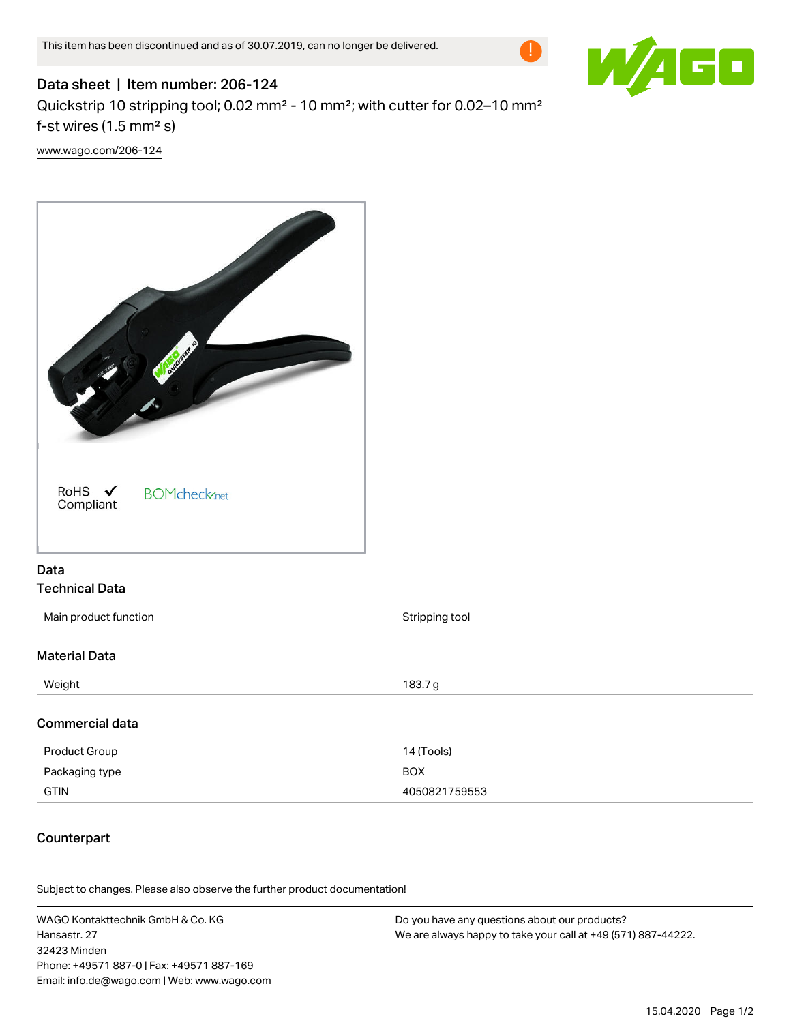

# Data sheet | Item number: 206-124 Quickstrip 10 stripping tool; 0.02 mm² - 10 mm²; with cutter for 0.02–10 mm² f-st wires  $(1.5 \text{ mm}^2 \text{ s})$

[www.wago.com/206-124](http://www.wago.com/206-124)



## Data Technical Data

| Main product function | Stripping tool |
|-----------------------|----------------|
|                       |                |
| <b>Material Data</b>  |                |
| Weight                | 183.7g         |
|                       |                |
| Commercial data       |                |
| Product Group         | 14 (Tools)     |
| Packaging type        | <b>BOX</b>     |
| <b>GTIN</b>           | 4050821759553  |

## **Counterpart**

Subject to changes. Please also observe the further product documentation!

WAGO Kontakttechnik GmbH & Co. KG Hansastr. 27 32423 Minden Phone: +49571 887-0 | Fax: +49571 887-169 Email: info.de@wago.com | Web: www.wago.com Do you have any questions about our products? We are always happy to take your call at +49 (571) 887-44222.